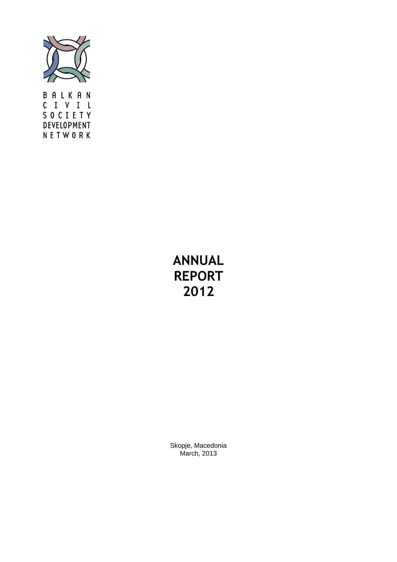

BALKAN C I V I L SOCIETY DEVELOPMENT NETWORK

# **ANNUAL REPORT 2012**

Skopje, Macedonia March, 2013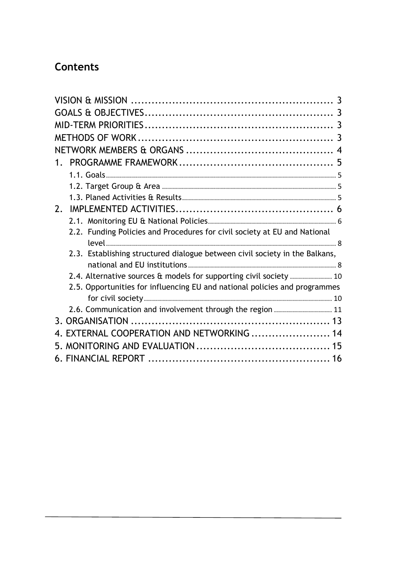# **Contents**

| 1.                                                                          |
|-----------------------------------------------------------------------------|
|                                                                             |
|                                                                             |
|                                                                             |
| $2_{1}$                                                                     |
|                                                                             |
| 2.2. Funding Policies and Procedures for civil society at EU and National   |
|                                                                             |
| 2.3. Establishing structured dialogue between civil society in the Balkans, |
|                                                                             |
| 2.4. Alternative sources & models for supporting civil society  10          |
| 2.5. Opportunities for influencing EU and national policies and programmes  |
| 2.6. Communication and involvement through the region  11                   |
|                                                                             |
| EXTERNAL COOPERATION AND NETWORKING  14                                     |
|                                                                             |
|                                                                             |
| 16                                                                          |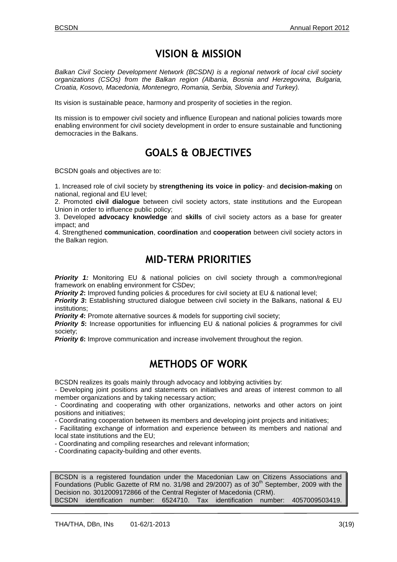## **VISION & MISSION**

<span id="page-2-0"></span>*Balkan Civil Society Development Network (BCSDN) is a regional network of local civil society organizations (CSOs) from the Balkan region (Albania, Bosnia and Herzegovina, Bulgaria, Croatia, Kosovo, Macedonia, Montenegro, Romania, Serbia, Slovenia and Turkey).*

Its vision is sustainable peace, harmony and prosperity of societies in the region.

Its mission is to empower civil society and influence European and national policies towards more enabling environment for civil society development in order to ensure sustainable and functioning democracies in the Balkans.

# **GOALS & OBJECTIVES**

<span id="page-2-1"></span>BCSDN goals and objectives are to:

1. Increased role of civil society by **strengthening its voice in policy**- and **decision-making** on national, regional and EU level;

2. Promoted **civil dialogue** between civil society actors, state institutions and the European Union in order to influence public policy;

3. Developed **advocacy knowledge** and **skills** of civil society actors as a base for greater impact; and

4. Strengthened **communication**, **coordination** and **cooperation** between civil society actors in the Balkan region.

## **MID-TERM PRIORITIES**

<span id="page-2-2"></span>**Priority 1:** Monitoring EU & national policies on civil society through a common/regional framework on enabling environment for CSDev;

**Priority 2:** Improved funding policies & procedures for civil society at EU & national level;

**Priority 3:** Establishing structured dialogue between civil society in the Balkans, national & EU institutions;

**Priority 4:** Promote alternative sources & models for supporting civil society;

*Priority 5*: Increase opportunities for influencing EU & national policies & programmes for civil society;

*Priority 6*: Improve communication and increase involvement throughout the region.

## **METHODS OF WORK**

<span id="page-2-3"></span>BCSDN realizes its goals mainly through advocacy and lobbying activities by:

- Developing joint positions and statements on initiatives and areas of interest common to all member organizations and by taking necessary action;

- Coordinating and cooperating with other organizations, networks and other actors on joint positions and initiatives;

- Coordinating cooperation between its members and developing joint projects and initiatives;

- Facilitating exchange of information and experience between its members and national and local state institutions and the EU;

- Coordinating and compiling researches and relevant information;

- Coordinating capacity-building and other events.

BCSDN is a registered foundation under the Macedonian Law on Citizens Associations and Foundations (Public Gazette of RM no. 31/98 and 29/2007) as of 30<sup>th</sup> September, 2009 with the Decision no. 3012009172866 of the Central Register of Macedonia (CRM). BCSDN identification number: 6524710. Tax identification number: 4057009503419.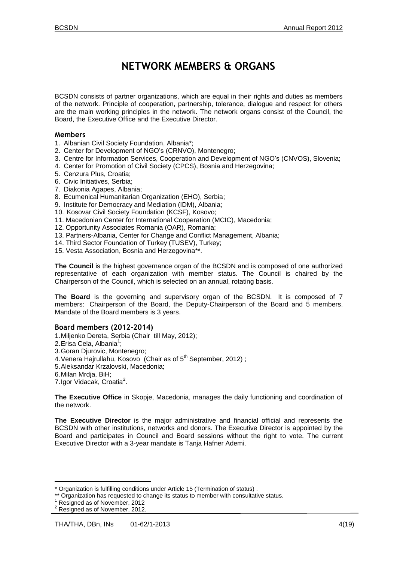# **NETWORK MEMBERS & ORGANS**

<span id="page-3-0"></span>BCSDN consists of partner organizations, which are equal in their rights and duties as members of the network. Principle of cooperation, partnership, tolerance, dialogue and respect for others are the main working principles in the network. The network organs consist of the Council, the Board, the Executive Office and the Executive Director.

#### **Members**

- 1. Albanian Civil Society Foundation, Albania\*;
- 2. Center for Development of NGO's (CRNVO), Montenegro;
- 3. Centre for Information Services, Cooperation and Development of NGO's (CNVOS), Slovenia;
- 4. Center for Promotion of Civil Society (CPCS), Bosnia and Herzegovina;
- 5. Cenzura Plus, Croatia;
- 6. Civic Initiatives, Serbia;
- 7. Diakonia Agapes, Albania;
- 8. Ecumenical Humanitarian Organization (EHO), Serbia;
- 9. Institute for Democracy and Mediation (IDM), Albania;
- 10. Kosovar Civil Society Foundation (KCSF), Kosovo;
- 11. Macedonian Center for International Cooperation (MCIC), Macedonia;
- 12. Opportunity Associates Romania (OAR), Romania;
- 13. Partners-Albania, Center for Change and Conflict Management, Albania;
- 14. Third Sector Foundation of Turkey (TUSEV), Turkey;
- 15. Vesta Association, Bosnia and Herzegovina\*\*.

**The Council** is the highest governance organ of the BCSDN and is composed of one authorized representative of each organization with member status. The Council is chaired by the Chairperson of the Council, which is selected on an annual, rotating basis.

**The Board** is the governing and supervisory organ of the BCSDN. It is composed of 7 members: Chairperson of the Board, the Deputy-Chairperson of the Board and 5 members. Mandate of the Board members is 3 years.

#### **Board members (2012-2014)**

- 1.Miljenko Dereta, Serbia (Chair till May, 2012);
- 2. Erisa Cela, Albania<sup>1</sup>;
- 3.Goran Djurovic, Montenegro;
- 4. Venera Hajrullahu, Kosovo (Chair as of 5<sup>th</sup> September, 2012);
- 5.Aleksandar Krzalovski, Macedonia;
- 6.Milan Mrdja, BiH;
- 7. Igor Vidacak, Croatia<sup>2</sup>.

**The Executive Office** in Skopje, Macedonia, manages the daily functioning and coordination of the network.

**The Executive Director** is the major administrative and financial official and represents the BCSDN with other institutions, networks and donors. The Executive Director is appointed by the Board and participates in Council and Board sessions without the right to vote. The current Executive Director with a 3-year mandate is Tanja Hafner Ademi.

Ξ

 $\overline{a}$ 

<sup>\*</sup> Organization is fulfilling conditions under Article 15 (Termination of status) .

<sup>\*\*</sup> Organization has requested to change its status to member with consultative status.

Resigned as of November, 2012

<sup>&</sup>lt;sup>2</sup> Resigned as of November, 2012.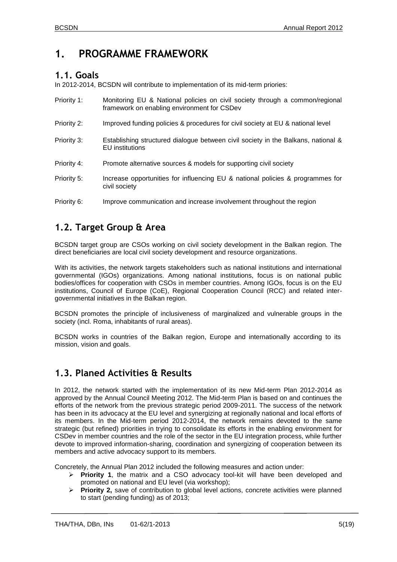## <span id="page-4-0"></span>**1. PROGRAMME FRAMEWORK**

### <span id="page-4-1"></span>**1.1. Goals**

In 2012-2014, BCSDN will contribute to implementation of its mid-term priories:

| Priority 1: | Monitoring EU & National policies on civil society through a common/regional<br>framework on enabling environment for CSDev |
|-------------|-----------------------------------------------------------------------------------------------------------------------------|
| Priority 2: | Improved funding policies & procedures for civil society at EU & national level                                             |
| Priority 3: | Establishing structured dialogue between civil society in the Balkans, national &<br>EU institutions                        |
| Priority 4: | Promote alternative sources & models for supporting civil society                                                           |
| Priority 5: | Increase opportunities for influencing EU & national policies & programmes for<br>civil society                             |
| Priority 6: | Improve communication and increase involvement throughout the region                                                        |

## <span id="page-4-2"></span>**1.2. Target Group & Area**

BCSDN target group are CSOs working on civil society development in the Balkan region. The direct beneficiaries are local civil society development and resource organizations.

With its activities, the network targets stakeholders such as national institutions and international governmental (IGOs) organizations. Among national institutions, focus is on national public bodies/offices for cooperation with CSOs in member countries. Among IGOs, focus is on the EU institutions, Council of Europe (CoE), Regional Cooperation Council (RCC) and related intergovernmental initiatives in the Balkan region.

BCSDN promotes the principle of inclusiveness of marginalized and vulnerable groups in the society (incl. Roma, inhabitants of rural areas).

BCSDN works in countries of the Balkan region, Europe and internationally according to its mission, vision and goals.

### <span id="page-4-3"></span>**1.3. Planed Activities & Results**

In 2012, the network started with the implementation of its new Mid-term Plan 2012-2014 as approved by the Annual Council Meeting 2012. The Mid-term Plan is based on and continues the efforts of the network from the previous strategic period 2009-2011. The success of the network has been in its advocacy at the EU level and synergizing at regionally national and local efforts of its members. In the Mid-term period 2012-2014, the network remains devoted to the same strategic (but refined) priorities in trying to consolidate its efforts in the enabling environment for CSDev in member countries and the role of the sector in the EU integration process, while further devote to improved information-sharing, coordination and synergizing of cooperation between its members and active advocacy support to its members.

Concretely, the Annual Plan 2012 included the following measures and action under:

- **Priority 1**, the matrix and a CSO advocacy tool-kit will have been developed and promoted on national and EU level (via workshop);
- **Priority 2,** save of contribution to global level actions, concrete activities were planned to start (pending funding) as of 2013;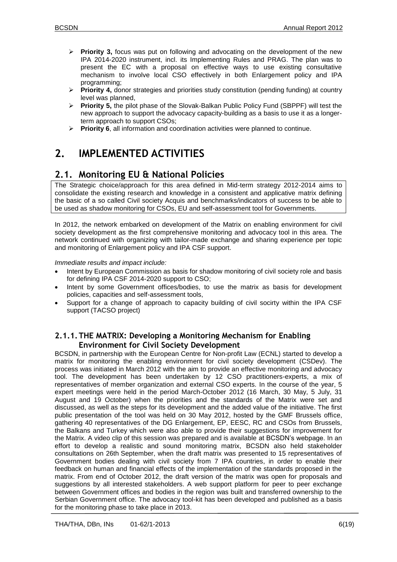- **Priority 3,** focus was put on following and advocating on the development of the new IPA 2014-2020 instrument, incl. its Implementing Rules and PRAG. The plan was to present the EC with a proposal on effective ways to use existing consultative mechanism to involve local CSO effectively in both Enlargement policy and IPA programming;
- **Priority 4,** donor strategies and priorities study constitution (pending funding) at country level was planned,
- **Priority 5,** the pilot phase of the Slovak-Balkan Public Policy Fund (SBPPF) will test the new approach to support the advocacy capacity-building as a basis to use it as a longerterm approach to support CSOs;
- **Priority 6**, all information and coordination activities were planned to continue.

# <span id="page-5-0"></span>**2. IMPLEMENTED ACTIVITIES**

## <span id="page-5-1"></span>**2.1. Monitoring EU & National Policies**

The Strategic choice/approach for this area defined in Mid-term strategy 2012-2014 aims to consolidate the existing research and knowledge in a consistent and applicative matrix defining the basic of a so called Civil society Acquis and benchmarks/indicators of success to be able to be used as shadow monitoring for CSOs, EU and self-assessment tool for Governments.

In 2012, the network embarked on development of the Matrix on enabling environment for civil society development as the first comprehensive monitoring and advocacy tool in this area. The network continued with organizing with tailor-made exchange and sharing experience per topic and monitoring of Enlargement policy and IPA CSF support.

*Immediate results and impact include:*

- Intent by European Commission as basis for shadow monitoring of civil society role and basis for defining IPA CSF 2014-2020 support to CSO;
- Intent by some Government offices/bodies, to use the matrix as basis for development policies, capacities and self-assessment tools,
- Support for a change of approach to capacity building of civil socirty within the IPA CSF support (TACSO project)

### **2.1.1.THE MATRIX: Developing a Monitoring Mechanism for Enabling Environment for Civil Society Development**

BCSDN, in partnership with the European Centre for Non-profit Law (ECNL) started to develop a matrix for monitoring the enabling environment for civil society development (CSDev). The process was initiated in March 2012 with the aim to provide an effective monitoring and advocacy tool. The development has been undertaken by 12 CSO practitioners-experts, a mix of representatives of member organization and external CSO experts. In the course of the year, 5 expert meetings were held in the period March-October 2012 (16 March, 30 May, 5 July, 31 August and 19 October) when the priorities and the standards of the Matrix were set and discussed, as well as the steps for its development and the added value of the initiative. The first public presentation of the tool was held on 30 May 2012, hosted by the GMF Brussels office, gathering 40 representatives of the DG Enlargement, EP, EESC, RC and CSOs from Brussels, the Balkans and Turkey which were also able to provide their suggestions for improvement for the Matrix. A video clip of this session was prepared and is available at BCSDN's webpage. In an effort to develop a realistic and sound monitoring matrix, BCSDN also held stakeholder consultations on 26th September, when the draft matrix was presented to 15 representatives of Government bodies dealing with civil society from 7 IPA countries, in order to enable their feedback on human and financial effects of the implementation of the standards proposed in the matrix. From end of October 2012, the draft version of the matrix was open for proposals and suggestions by all interested stakeholders. A web support platform for peer to peer exchange between Government offices and bodies in the region was built and transferred ownership to the Serbian Government office. The advocacy tool-kit has been developed and published as a basis for the monitoring phase to take place in 2013.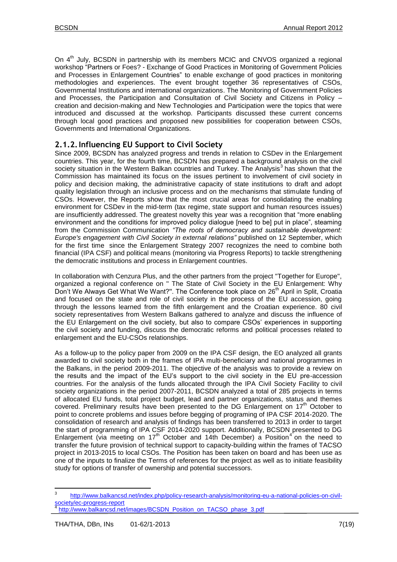On 4<sup>th</sup> July, BCSDN in partnership with its members MCIC and CNVOS organized a regional workshop "Partners or Foes? - Exchange of Good Practices in Monitoring of Government Policies and Processes in Enlargement Countries" to enable exchange of good practices in monitoring methodologies and experiences. The event brought together 36 representatives of CSOs, Governmental Institutions and international organizations. The Monitoring of Government Policies and Processes, the Participation and Consultation of Civil Society and Citizens in Policy – creation and decision-making and New Technologies and Participation were the topics that were introduced and discussed at the workshop. Participants discussed these current concerns through local good practices and proposed new possibilities for cooperation between CSOs, Governments and International Organizations.

### **2.1.2.Influencing EU Support to Civil Society**

Since 2009, BCSDN has analyzed progress and trends in relation to CSDev in the Enlargement countries. This year, for the fourth time, BCSDN has prepared a background analysis on the civil society situation in the Western Balkan countries and Turkey. The Analysis<sup>3</sup> has shown that the Commission has maintained its focus on the issues pertinent to involvement of civil society in policy and decision making, the administrative capacity of state institutions to draft and adopt quality legislation through an inclusive process and on the mechanisms that stimulate funding of CSOs. However, the Reports show that the most crucial areas for consolidating the enabling environment for CSDev in the mid-term (tax regime, state support and human resources issues) are insufficiently addressed. The greatest novelty this year was a recognition that "more enabling environment and the conditions for improved policy dialogue [need to be] put in place", steaming from the Commission Communication *"The roots of democracy and sustainable development: Europe's engagement with Civil Society in external relations*" published on 12 September, which for the first time since the Enlargement Strategy 2007 recognizes the need to combine both financial (IPA CSF) and political means (monitoring via Progress Reports) to tackle strengthening the democratic institutions and process in Enlargement countries.

In collaboration with Cenzura Plus, and the other partners from the project ''Together for Europe'', organized a regional conference on '' The State of Civil Society in the EU Enlargement: Why Don't We Always Get What We Want?". The Conference took place on 26<sup>th</sup> April in Split, Croatia and focused on the state and role of civil society in the process of the EU accession, going through the lessons learned from the fifth enlargement and the Croatian experience. 80 civil society representatives from Western Balkans gathered to analyze and discuss the influence of the EU Enlargement on the civil society, but also to compare CSOs' experiences in supporting the civil society and funding, discuss the democratic reforms and political processes related to enlargement and the EU-CSOs relationships.

As a follow-up to the policy paper from 2009 on the IPA CSF design, the EO analyzed all grants awarded to civil society both in the frames of IPA multi-beneficiary and national programmes in the Balkans, in the period 2009-2011. The objective of the analysis was to provide a review on the results and the impact of the EU's support to the civil society in the EU pre-accession countries. For the analysis of the funds allocated through the IPA Civil Society Facility to civil society organizations in the period 2007-2011, BCSDN analyzed a total of 285 projects in terms of allocated EU funds, total project budget, lead and partner organizations, status and themes covered. Preliminary results have been presented to the DG Enlargement on  $17<sup>th</sup>$  October to point to concrete problems and issues before begging of programing of IPA CSF 2014-2020. The consolidation of research and analysis of findings has been transferred to 2013 in order to target the start of programming of IPA CSF 2014-2020 support. Additionally, BCSDN presented to DG Enlargement (via meeting on  $17<sup>th</sup>$  October and 14th December) a Position<sup>4</sup> on the need to transfer the future provision of technical support to capacity-building within the frames of TACSO project in 2013-2015 to local CSOs. The Position has been taken on board and has been use as one of the inputs to finalize the Terms of references for the project as well as to initiate feasibility study for options of transfer of ownership and potential successors.

<sup>-&</sup>lt;br>3 [http://www.balkancsd.net/index.php/policy-research-analysis/monitoring-eu-a-national-policies-on-civil](http://www.balkancsd.net/index.php/policy-research-analysis/monitoring-eu-a-national-policies-on-civil-society/ec-progress-report)[society/ec-progress-report](http://www.balkancsd.net/index.php/policy-research-analysis/monitoring-eu-a-national-policies-on-civil-society/ec-progress-report)

Ξ [http://www.balkancsd.net/images/BCSDN\\_Position\\_on\\_TACSO\\_phase\\_3.pdf](http://www.balkancsd.net/images/BCSDN_Position_on_TACSO_phase_3.pdf)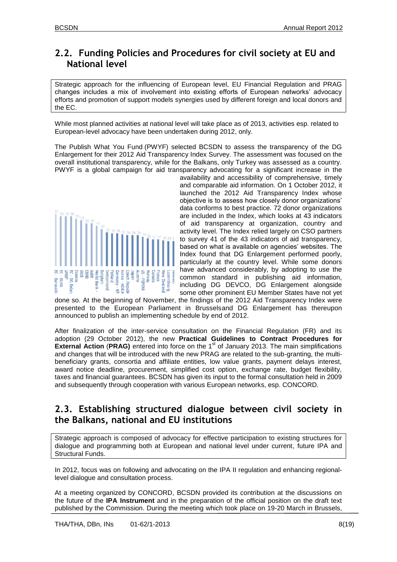### <span id="page-7-0"></span>**2.2. Funding Policies and Procedures for civil society at EU and National level**

Strategic approach for the influencing of European level, EU Financial Regulation and PRAG changes includes a mix of involvement into existing efforts of European networks' advocacy efforts and promotion of support models synergies used by different foreign and local donors and the EC.

While most planned activities at national level will take place as of 2013, activities esp. related to European-level advocacy have been undertaken during 2012, only.

The Publish What You Fund (PWYF) selected BCSDN to assess the transparency of the DG Enlargement for their 2012 Aid Transparency Index Survey. The assessment was focused on the overall institutional transparency, while for the Balkans, only Turkey was assessed as a country. PWYF is a global campaign for aid transparency advocating for a significant increase in the



availability and accessibility of comprehensive, timely and comparable aid information. On 1 October 2012, it launched the 2012 Aid Transparency Index whose objective is to assess how closely donor organizations' data conforms to best practice. 72 donor organizations are included in the Index, which looks at 43 indicators of aid transparency at organization, country and activity level. The Index relied largely on CSO partners to survey 41 of the 43 indicators of aid transparency, based on what is available on agencies' websites. The Index found that DG Enlargement performed poorly, particularly at the country level. While some donors have advanced considerably, by adopting to use the common standard in publishing aid information, including DG DEVCO, DG Enlargement alongside some other prominent EU Member States have not yet

done so. At the beginning of November, the findings of the 2012 Aid Transparency Index were presented to the European Parliament in Brusselsand DG Enlargement has thereupon announced to publish an implementing schedule by end of 2012.

After finalization of the inter-service consultation on the Financial Regulation (FR) and its adoption (29 October 2012), the new **Practical Guidelines to Contract Procedures for External Action (PRAG)** entered into force on the 1<sup>st</sup> of January 2013. The main simplifications and changes that will be introduced with the new PRAG are related to the sub-granting, the multibeneficiary grants, consortia and affiliate entities, low value grants, payment delays interest, award notice deadline, procurement, simplified cost option, exchange rate, budget flexibility, taxes and financial guarantees. BCSDN has given its input to the formal consultation held in 2009 and subsequently through cooperation with various European networks, esp. CONCORD.

### <span id="page-7-1"></span>**2.3. Establishing structured dialogue between civil society in the Balkans, national and EU institutions**

Strategic approach is composed of advocacy for effective participation to existing structures for dialogue and programming both at European and national level under current, future IPA and Structural Funds.

In 2012, focus was on following and advocating on the IPA II regulation and enhancing regionallevel dialogue and consultation process.

At a meeting organized by CONCORD, BCSDN provided its contribution at the discussions on the future of the **IPA Instrument** and in the preparation of the official position on the draft text published by the Commission. During the meeting which took place on 19-20 March in Brussels,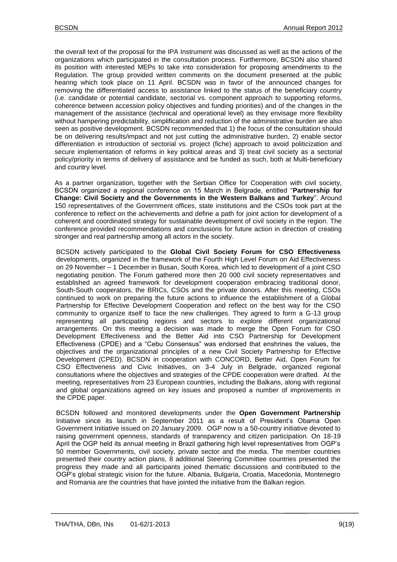the overall text of the proposal for the IPA Instrument was discussed as well as the actions of the organizations which participated in the consultation process. Furthermore, BCSDN also shared its position with interested MEPs to take into consideration for proposing amendments to the Regulation. The group provided written comments on the document presented at the public hearing which took place on 11 April. BCSDN was in favor of the announced changes for removing the differentiated access to assistance linked to the status of the beneficiary country (i.e. candidate or potential candidate, sectorial vs. component approach to supporting reforms, coherence between accession policy objectives and funding priorities) and of the changes in the management of the assistance (technical and operational level) as they envisage more flexibility without hampering predictability, simplification and reduction of the administrative burden are also seen as positive development. BCSDN recommended that 1) the focus of the consultation should be on delivering results/impact and not just cutting the administrative burden, 2) enable sector differentiation in introduction of sectorial vs. project (fiche) approach to avoid politicization and secure implementation of reforms in key political areas and 3) treat civil society as a sectorial policy/priority in terms of delivery of assistance and be funded as such, both at Multi-beneficiary and country level.

As a partner organization, together with the Serbian Office for Cooperation with civil society, BCSDN organized a regional conference on 15 March in Belgrade, entitled "**Partnership for Change: Civil Society and the Governments in the Western Balkans and Turkey**". Around 150 representatives of the Government offices, state institutions and the CSOs took part at the conference to reflect on the achievements and define a path for joint action for development of a coherent and coordinated strategy for sustainable development of civil society in the region. The conference provided recommendations and conclusions for future action in direction of creating stronger and real partnership among all actors in the society.

BCSDN actively participated to the **Global Civil Society Forum for CSO Effectiveness** developments, organized in the framework of the Fourth High Level Forum on Aid Effectiveness on 29 November – 1 December in Busan, South Korea, which led to development of a joint CSO negotiating position. The Forum gathered more then 20 000 civil society representatives and established an agreed framework for development cooperation embracing traditional donor, South-South cooperators, the BRICs, CSOs and the private donors. After this meeting, CSOs continued to work on preparing the future actions to influence the establishment of a Global Partnership for Effective Development Cooperation and reflect on the best way for the CSO community to organize itself to face the new challenges. They agreed to form a G-13 group representing all participating regions and sectors to explore different organizational arrangements. On this meeting a decision was made to merge the Open Forum for CSO Development Effectiveness and the Better Aid into CSO Partnership for Development Effectiveness (CPDE) and a "Cebu Consensus" was endorsed that enshrines the values, the objectives and the organizational principles of a new Civil Society Partnership for Effective Development (CPED). BCSDN in cooperation with CONCORD, Better Aid, Open Forum for CSO Effectiveness and Civic Initiatives, on 3-4 July in Belgrade, organized regional consultations where the objectives and strategies of the CPDE cooperation were drafted. At the meeting, representatives from 23 European countries, including the Balkans, along with regional and global organizations agreed on key issues and proposed a number of improvements in the [CPDE](http://www.betteraid.org/) paper.

BCSDN followed and monitored developments under the **Open Government Partnership** Initiative since its launch in September 2011 as a result of President's Obama Open Government Initiative issued on 20 January 2009. OGP now is a 50-country initiative devoted to raising government openness, standards of transparency and citizen participation. On 18-19 April the OGP held its annual meeting in Brazil gathering high level representatives from OGP's 50 member Governments, civil society, private sector and the media. The member countries presented their country action plans, 8 additional Steering Committee countries presented the progress they made and all participants joined thematic discussions and contributed to the OGP's global strategic vision for the future. Albania, Bulgaria, Croatia, Macedonia, Montenegro and Romania are the countries that have jointed the initiative from the Balkan region.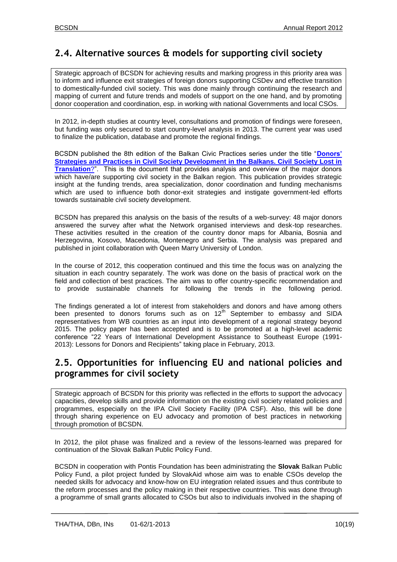## <span id="page-9-0"></span>**2.4. Alternative sources & models for supporting civil society**

Strategic approach of BCSDN for achieving results and marking progress in this priority area was to inform and influence exit strategies of foreign donors supporting CSDev and effective transition to domestically-funded civil society. This was done mainly through continuing the research and mapping of current and future trends and models of support on the one hand, and by promoting donor cooperation and coordination, esp. in working with national Governments and local CSOs.

In 2012, in-depth studies at country level, consultations and promotion of findings were foreseen, but funding was only secured to start country-level analysis in 2013. The current year was used to finalize the publication, database and promote the regional findings.

BCSDN published the 8th edition of the Balkan Civic Practices series under the title "**[Donors'](http://balkancsd.net/resources-and-links/publications/1005-balkan-civic-practices-8-donors-strategies-and-practices-in-civil-society-development-in-the-balkans-civil-society-lost-in-translation.html)  [Strategies and Practices in Civil Society Development in the Balkans. Civil Society Lost in](http://balkancsd.net/resources-and-links/publications/1005-balkan-civic-practices-8-donors-strategies-and-practices-in-civil-society-development-in-the-balkans-civil-society-lost-in-translation.html)  [Translation](http://balkancsd.net/resources-and-links/publications/1005-balkan-civic-practices-8-donors-strategies-and-practices-in-civil-society-development-in-the-balkans-civil-society-lost-in-translation.html)**?". This is the document that provides analysis and overview of the major donors which have/are supporting civil society in the Balkan region. This publication provides strategic insight at the funding trends, area specialization, donor coordination and funding mechanisms which are used to influence both donor-exit strategies and instigate government-led efforts towards sustainable civil society development.

BCSDN has prepared this analysis on the basis of the results of a web-survey: 48 major donors answered the survey after what the Network organised interviews and desk-top researches. These activities resulted in the creation of the country donor maps for Albania, Bosnia and Herzegovina, Kosovo, Macedonia, Montenegro and Serbia. The analysis was prepared and published in joint collaboration with Queen Marry University of London.

In the course of 2012, this cooperation continued and this time the focus was on analyzing the situation in each country separately. The work was done on the basis of practical work on the field and collection of best practices. The aim was to offer country-specific recommendation and to provide sustainable channels for following the trends in the following period.

The findings generated a lot of interest from stakeholders and donors and have among others been presented to donors forums such as on 12<sup>th</sup> September to embassy and SIDA representatives from WB countries as an input into development of a regional strategy beyond 2015. The policy paper has been accepted and is to be promoted at a high-level academic conference "22 Years of International Development Assistance to Southeast Europe (1991- 2013): Lessons for Donors and Recipients" taking place in February, 2013.

### <span id="page-9-1"></span>**2.5. Opportunities for influencing EU and national policies and programmes for civil society**

Strategic approach of BCSDN for this priority was reflected in the efforts to support the advocacy capacities, develop skills and provide information on the existing civil society related policies and programmes, especially on the IPA Civil Society Facility (IPA CSF). Also, this will be done through sharing experience on EU advocacy and promotion of best practices in networking through promotion of BCSDN.

In 2012, the pilot phase was finalized and a review of the lessons-learned was prepared for continuation of the Slovak Balkan Public Policy Fund.

BCSDN in cooperation with Pontis Foundation has been administrating the **Slovak** Balkan Public Policy Fund, a pilot project funded by SlovakAid whose aim was to enable CSOs develop the needed skills for advocacy and know-how on EU integration related issues and thus contribute to the reform processes and the policy making in their respective countries. This was done through a programme of small grants allocated to CSOs but also to individuals involved in the shaping of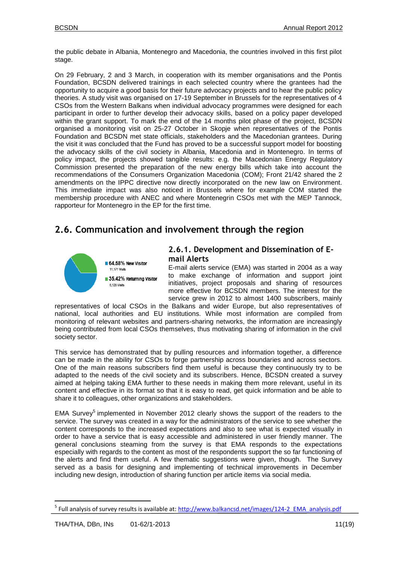the public debate in Albania, Montenegro and Macedonia, the countries involved in this first pilot stage.

On 29 February, 2 and 3 March, in cooperation with its member organisations and the Pontis Foundation, BCSDN delivered trainings in each selected country where the grantees had the opportunity to acquire a good basis for their future advocacy projects and to hear the public policy theories. A study visit was organised on 17-19 September in Brussels for the representatives of 4 CSOs from the Western Balkans when individual advocacy programmes were designed for each participant in order to further develop their advocacy skills, based on a policy paper developed within the grant support. To mark the end of the 14 months pilot phase of the project, BCSDN organised a monitoring visit on 25-27 October in Skopje when representatives of the Pontis Foundation and BCSDN met state officials, stakeholders and the Macedonian grantees. During the visit it was concluded that the Fund has proved to be a successful support model for boosting the advocacy skills of the civil society in Albania, Macedonia and in Montenegro. In terms of policy impact, the projects showed tangible results: e.g. the Macedonian Energy Regulatory Commission presented the preparation of the new energy bills which take into account the recommendations of the Consumers Organization Macedonia (COM); Front 21/42 shared the 2 amendments on the IPPC directive now directly incorporated on the new law on Environment. This immediate impact was also noticed in Brussels where for example COM started the membership procedure with ANEC and where Montenegrin CSOs met with the MEP Tannock, rapporteur for Montenegro in the EP for the first time.

### <span id="page-10-0"></span>**2.6. Communication and involvement through the region**



### **2.6.1. Development and Dissemination of Email Alerts**

E-mail alerts service (EMA) was started in 2004 as a way to make exchange of information and support joint initiatives, project proposals and sharing of resources more effective for BCSDN members. The interest for the service grew in 2012 to almost 1400 subscribers, mainly

representatives of local CSOs in the Balkans and wider Europe, but also representatives of national, local authorities and EU institutions. While most information are compiled from monitoring of relevant websites and partners-sharing networks, the information are increasingly being contributed from local CSOs themselves, thus motivating sharing of information in the civil society sector.

This service has demonstrated that by pulling resources and information together, a difference can be made in the ability for CSOs to forge partnership across boundaries and across sectors. One of the main reasons subscribers find them useful is because they continuously try to be adapted to the needs of the civil society and its subscribers. Hence, BCSDN created a survey aimed at helping taking EMA further to these needs in making them more relevant, useful in its content and effective in its format so that it is easy to read, get quick information and be able to share it to colleagues, other organizations and stakeholders.

EMA Survey<sup>5</sup> implemented in November 2012 clearly shows the support of the readers to the service. The survey was created in a way for the administrators of the service to see whether the content corresponds to the increased expectations and also to see what is expected visually in order to have a service that is easy accessible and administered in user friendly manner. The general conclusions steaming from the survey is that EMA responds to the expectations especially with regards to the content as most of the respondents support the so far functioning of the alerts and find them useful. A few thematic suggestions were given, though. The Survey served as a basis for designing and implementing of technical improvements in December including new design, introduction of sharing function per article items via social media.

Ξ

 $\overline{a}$ 

<sup>5</sup> Full analysis of survey results is available at: [http://www.balkancsd.net/images/124-2\\_EMA\\_analysis.pdf](http://www.balkancsd.net/images/124-2_EMA_analysis.pdf)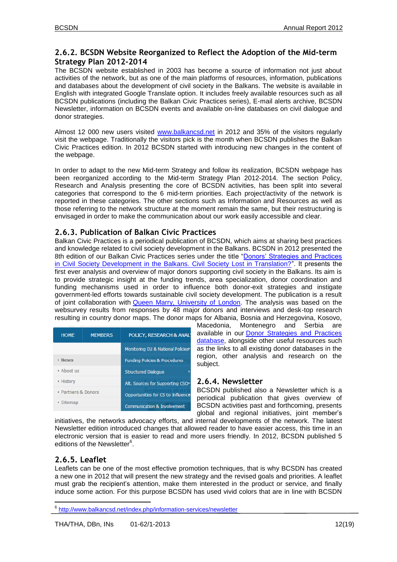### **2.6.2. BCSDN Website Reorganized to Reflect the Adoption of the Mid-term Strategy Plan 2012-2014**

The BCSDN website established in 2003 has become a source of information not just about activities of the network, but as one of the main platforms of resources, information, publications and databases about the development of civil society in the Balkans. The website is available in English with integrated Google Translate option. It includes freely available resources such as all BCSDN publications (including the Balkan Civic Practices series), E-mail alerts archive, BCSDN Newsletter, information on BCSDN events and available on-line databases on civil dialogue and donor strategies.

Almost 12 000 new users visited [www.balkancsd.net](http://www.balkancsd.net/) in 2012 and 35% of the visitors regularly visit the webpage. Traditionally the visitors pick is the month when BCSDN publishes the Balkan Civic Practices edition. In 2012 BCSDN started with introducing new changes in the content of the webpage.

In order to adapt to the new Mid-term Strategy and follow its realization, BCSDN webpage has been reorganized according to the Mid-term Strategy Plan 2012-2014. The section Policy, Research and Analysis presenting the core of BCSDN activities, has been split into several categories that correspond to the 6 mid-term priorities. Each project/activity of the network is reported in these categories. The other sections such as Information and Resources as well as those referring to the network structure at the moment remain the same, but their restructuring is envisaged in order to make the communication about our work easily accessible and clear.

### **2.6.3. Publication of Balkan Civic Practices**

Balkan Civic Practices is a periodical publication of BCSDN, which aims at sharing best practices and knowledge related to civil society development in the Balkans. BCSDN in 2012 presented the 8th edition of our Balkan Civic Practices series under the title ["Donors' Strategies and Practices](http://www.scribd.com/BCSDN/d/81587797-BCP-8-Donor-Strategies-and-Practices-in-CSDev-in-the-Balkans)  [in Civil Society Development in the Balkans. Civil Society Lost in Translation?"](http://www.scribd.com/BCSDN/d/81587797-BCP-8-Donor-Strategies-and-Practices-in-CSDev-in-the-Balkans). It presents the first ever analysis and overview of major donors supporting civil society in the Balkans. Its aim is to provide strategic insight at the funding trends, area specialization, donor coordination and funding mechanisms used in order to influence both donor-exit strategies and instigate government-led efforts towards sustainable civil society development. The publication is a result of joint collaboration with [Queen Marry, University of London.](http://www.qmul.ac.uk/) The analysis was based on the websurvey results from responses by 48 major donors and interviews and desk-top research resulting in country donor maps. The donor maps for Albania, Bosnia and Herzegovina, Kosovo,

| <b>HOME</b>         | <b>MEMBERS</b> | POLICY, RESEARCH & ANALY                 |
|---------------------|----------------|------------------------------------------|
|                     |                | Monitoring EU & National Policies        |
| <b>▶ News</b>       |                | <b>Funding Policies &amp; Procedures</b> |
| $\star$ About us    |                | <b>Structured Dialogue</b>               |
| ▶ History           |                | Alt. Sources for Supporting CSO>         |
| ▶ Partners & Donors |                | Opportunities for CS to Influence        |
| ▶ Sitemap           |                | <b>Communication &amp; Involvement</b>   |

Macedonia, Montenegro and Serbia are available in our [Donor Strategies and Practices](http://balkancsd.net/policy-research-analysis/donor-strategies-and-practices/database.html)  [database,](http://balkancsd.net/policy-research-analysis/donor-strategies-and-practices/database.html) alongside other useful resources such as the links to all existing donor databases in the region, other analysis and research on the subject.

### **2.6.4. Newsletter**

BCSDN published also a Newsletter which is a periodical publication that gives overview of BCSDN activities past and forthcoming, presents global and regional initiatives, joint member's

initiatives, the networks advocacy efforts, and internal developments of the network. The latest Newsletter edition introduced changes that allowed reader to have easier access, this time in an electronic version that is easier to read and more users friendly. In 2012, BCSDN published 5 editions of the Newsletter<sup>6</sup>.

### **2.6.5. Leaflet**

Ξ

Leaflets can be one of the most effective promotion techniques, that is why BCSDN has created a new one in 2012 that will present the new strategy and the revised goals and priorities. A leaflet must grab the recipient's attention, make them interested in the product or service, and finally induce some action. For this purpose BCSDN has used vivid colors that are in line with BCSDN

 $\overline{\phantom{a}}$ <sup>6</sup> <http://www.balkancsd.net/index.php/information-services/newsletter>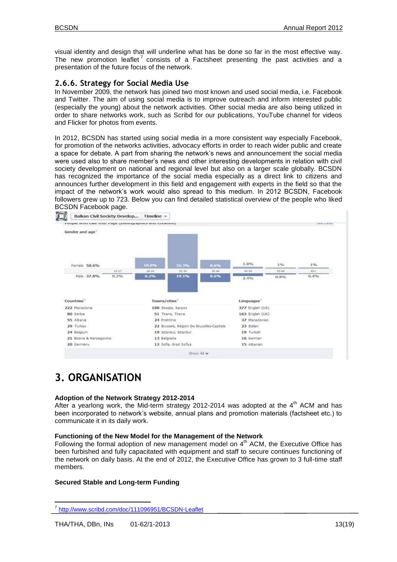visual identity and design that will underline what has be done so far in the most effective way. The new promotion leaflet<sup>7</sup> consists of a Factsheet presenting the past activities and a presentation of the future focus of the network.

### **2.6.6. Strategy for Social Media Use**

In November 2009, the network has joined two most known and used social media, i.e. Facebook and Twitter. The aim of using social media is to improve outreach and inform interested public (especially the young) about the network activities. Other social media are also being utilized in order to share networks work, such as Scribd for our publications, YouTube channel for videos and Flicker for photos from events.

In 2012, BCSDN has started using social media in a more consistent way especially Facebook, for promotion of the networks activities, advocacy efforts in order to reach wider public and create a space for debate. A part from sharing the network's news and announcement the social media were used also to share member's news and other interesting developments in relation with civil society development on national and regional level but also on a larger scale globally. BCSDN has recognized the importance of the social media especially as a direct link to citizens and announces further development in this field and engagement with experts in the field so that the impact of the network's work would also spread to this medium. In 2012 BCSDN, Facebook followers grew up to 723. Below you can find detailed statistical overview of the people who liked BCSDN Facebook page.



# <span id="page-12-0"></span>**3. ORGANISATION**

#### **Adoption of the Network Strategy 2012-2014**

After a yearlong work, the Mid-term strategy 2012-2014 was adopted at the  $4<sup>th</sup>$  ACM and has been incorporated to network's website, annual plans and promotion materials (factsheet etc.) to communicate it in its daily work.

#### **Functioning of the New Model for the Management of the Network**

Following the formal adoption of new management model on  $4<sup>th</sup>$  ACM, the Executive Office has been furbished and fully capacitated with equipment and staff to secure continues functioning of the network on daily basis. At the end of 2012, the Executive Office has grown to 3 full-time staff members.

#### **Secured Stable and Long-term Funding**

 7 <http://www.scribd.com/doc/111096951/BCSDN-Leaflet>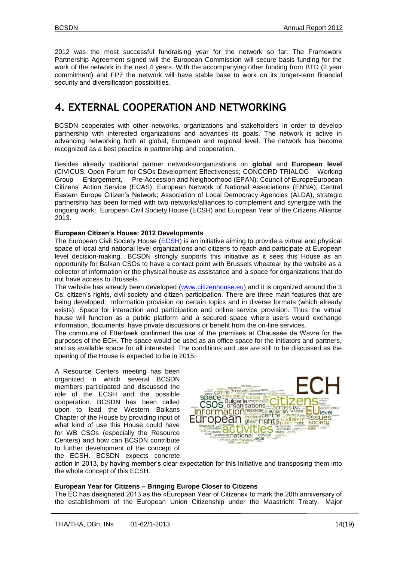2012 was the most successful fundraising year for the network so far. The Framework Partnership Agreement signed will the European Commission will secure basis funding for the work of the network in the next 4 years. With the accompanying other funding from BTD (2 year commitment) and FP7 the network will have stable base to work on its longer-term financial security and diversification possibilities.

# <span id="page-13-0"></span>**4. EXTERNAL COOPERATION AND NETWORKING**

BCSDN cooperates with other networks, organizations and stakeholders in order to develop partnership with interested organizations and advances its goals. The network is active in advancing networking both at global, European and regional level. The network has become recognized as a best practice in partnership and cooperation.

Besides already traditional partner networks/organizations on **global** and **European level** (CIVICUS; Open Forum for CSOs Development Effectiveness; CONCORD-TRIALOG Working Group Enlargement, Pre-Accession and Neighborhood (EPAN); Council of EuropeEuropean Citizens' Action Service (ECAS); European Network of National Associations (ENNA); Central Eastern Europe Citizen's Network; Association of Local Democracy Agencies (ALDA), strategic partnership has been formed with two networks/alliances to complement and synergize with the ongoing work: European Civil Society House (ECSH) and European Year of the Citizens Alliance 2013.

#### **European Citizen's House: 2012 Developments**

The European Civil Society House [\(ECSH\)](http://www.citizenhouse.eu/) is an initiative aiming to provide a virtual and physical space of local and national level organizations and citizens to reach and participate at European level decision-making. BCSDN strongly supports this initiative as it sees this House as an opportunity for Balkan CSOs to have a contact point with Brussels wheatear by the website as a collector of information or the physical house as assistance and a space for organizations that do not have access to Brussels.

The website has already been developed [\(www.citizenhouse.eu\)](http://www.citizenhouse.eu/) and it is organized around the 3 Cs: citizen's rights, civil society and citizen participation. There are three main features that are being developed: Information provision on certain topics and in diverse formats (which already exists); Space for interaction and participation and online service provision. Thus the virtual house will function as a public platform and a secured space where users would exchange information, documents, have private discussions or benefit from the on-line services.

The commune of Etterbeek confirmed the use of the premises at Chaussée de Wavre for the purposes of the ECH. The space would be used as an office space for the initiators and partners, and as available space for all interested. The conditions and use are still to be discussed as the opening of the House is expected to be in 2015.

A Resource Centers meeting has been organized in which several BCSDN members participated and discussed the role of the ECSH and the possible cooperation. BCSDN has been called upon to lead the Western Balkans Chapter of the House by providing input of what kind of use this House could have for WB CSOs (especially the Resource Centers) and how can BCSDN contribute to further development of the concept of the ECSH. BCSDN expects concrete



action in 2013, by having member's clear expectation for this initiative and transposing them into the whole concept of this ECSH.

#### **European Year for Citizens – Bringing Europe Closer to Citizens**

The EC has designated 2013 as the «European Year of Citizens» to mark the 20th anniversary of the establishment of the European Union Citizenship under the Maastricht Treaty. Major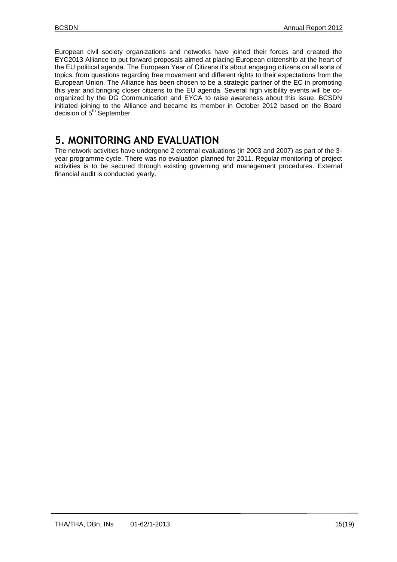European civil society organizations and networks have joined their forces and created the EYC2013 Alliance to put forward proposals aimed at placing European citizenship at the heart of the EU political agenda. The European Year of Citizens it's about engaging citizens on all sorts of topics, from questions regarding free movement and different rights to their expectations from the European Union. The Alliance has been chosen to be a strategic partner of the EC in promoting this year and bringing closer citizens to the EU agenda. Several high visibility events will be coorganized by the DG Communication and EYCA to raise awareness about this issue. BCSDN initiated joining to the Alliance and became its member in October 2012 based on the Board decision of 5<sup>th</sup> September.

# <span id="page-14-0"></span>**5. MONITORING AND EVALUATION**

The network activities have undergone 2 external evaluations (in 2003 and 2007) as part of the 3 year programme cycle. There was no evaluation planned for 2011. Regular monitoring of project activities is to be secured through existing governing and management procedures. External financial audit is conducted yearly.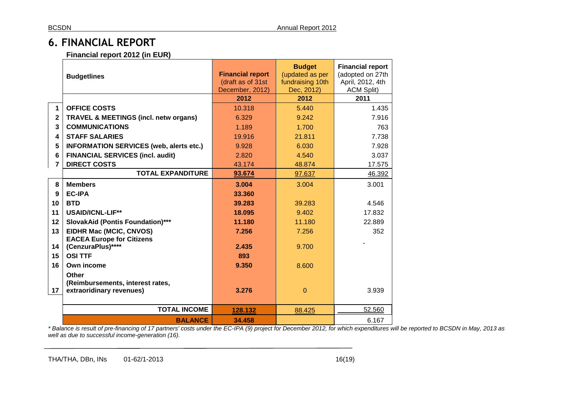# **6. FINANCIAL REPORT**

### **Financial report 2012 (in EUR)**

|              | <b>Budgetlines</b>                                                           | <b>Financial report</b><br>(draft as of 31st<br>December, 2012) | <b>Budget</b><br>(updated as per<br>fundraising 10th<br>Dec, 2012) | <b>Financial report</b><br>(adopted on 27th<br>April, 2012, 4th<br><b>ACM Split)</b> |
|--------------|------------------------------------------------------------------------------|-----------------------------------------------------------------|--------------------------------------------------------------------|--------------------------------------------------------------------------------------|
|              |                                                                              | 2012                                                            | 2012                                                               | 2011                                                                                 |
| 1            | <b>OFFICE COSTS</b>                                                          | 10.318                                                          | 5.440                                                              | 1.435                                                                                |
| $\mathbf{2}$ | <b>TRAVEL &amp; MEETINGS (incl. netw organs)</b>                             | 6.329                                                           | 9.242                                                              | 7.916                                                                                |
| 3            | <b>COMMUNICATIONS</b>                                                        | 1.189                                                           | 1.700                                                              | 763                                                                                  |
| 4            | <b>STAFF SALARIES</b>                                                        | 19.916                                                          | 21.811                                                             | 7.738                                                                                |
| 5            | <b>INFORMATION SERVICES (web, alerts etc.)</b>                               | 9.928                                                           | 6.030                                                              | 7.928                                                                                |
| 6            | <b>FINANCIAL SERVICES (incl. audit)</b>                                      | 2.820                                                           | 4.540                                                              | 3.037                                                                                |
| 7            | <b>DIRECT COSTS</b>                                                          | 43.174                                                          | 48.874                                                             | 17.575                                                                               |
|              | <b>TOTAL EXPANDITURE</b>                                                     | 93.674                                                          | 97.637                                                             | 46.392                                                                               |
| 8            | <b>Members</b>                                                               | 3.004                                                           | 3.004                                                              | 3.001                                                                                |
| 9            | <b>EC-IPA</b>                                                                | 33.360                                                          |                                                                    |                                                                                      |
| 10           | <b>BTD</b>                                                                   | 39.283                                                          | 39.283                                                             | 4.546                                                                                |
| 11           | <b>USAID/ICNL-LIF**</b>                                                      | 18.095                                                          | 9.402                                                              | 17.832                                                                               |
| 12           | <b>SlovakAid (Pontis Foundation)***</b>                                      | 11.180                                                          | 11.180                                                             | 22.889                                                                               |
| 13           | EIDHR Mac (MCIC, CNVOS)                                                      | 7.256                                                           | 7.256                                                              | 352                                                                                  |
|              | <b>EACEA Europe for Citizens</b>                                             |                                                                 |                                                                    |                                                                                      |
| 14           | (CenzuraPlus)****                                                            | 2.435                                                           | 9.700                                                              |                                                                                      |
| 15           | <b>OSI TTF</b>                                                               | 893                                                             |                                                                    |                                                                                      |
| 16           | Own income                                                                   | 9.350                                                           | 8.600                                                              |                                                                                      |
| 17           | <b>Other</b><br>(Reimbursements, interest rates,<br>extraoridinary revenues) | 3.276                                                           | $\Omega$                                                           | 3.939                                                                                |
|              | <b>TOTAL INCOME</b>                                                          | 128.132                                                         | 88.425                                                             | 52.560                                                                               |
|              | <b>BALANCE</b>                                                               | 34.458                                                          |                                                                    | 6.167                                                                                |

<span id="page-15-0"></span>*\* Balance is result of pre-financing of 17 partners' costs under the EC-IPA (9) project for December 2012, for which expenditures will be reported to BCSDN in May, 2013 as well as due to successful income-generation (16).*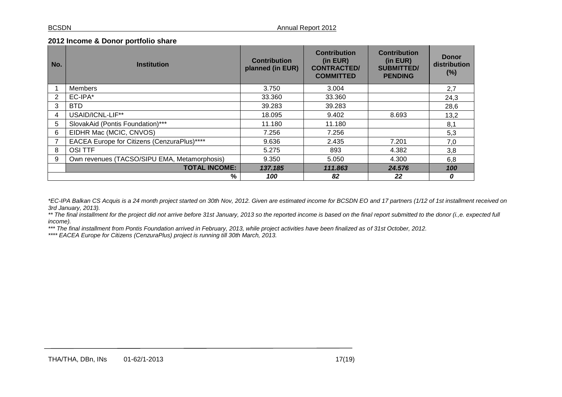#### **2012 Income & Donor portfolio share**

| No. | <b>Institution</b>                           | <b>Contribution</b><br>planned (in EUR) | <b>Contribution</b><br>(in EUR)<br><b>CONTRACTED/</b><br><b>COMMITTED</b> | <b>Contribution</b><br>(in EUR)<br><b>SUBMITTED/</b><br><b>PENDING</b> | <b>Donor</b><br>distribution<br>(%) |
|-----|----------------------------------------------|-----------------------------------------|---------------------------------------------------------------------------|------------------------------------------------------------------------|-------------------------------------|
|     | <b>Members</b>                               | 3.750                                   | 3.004                                                                     |                                                                        | 2,7                                 |
| 2   | $EC$ -IPA $*$                                | 33.360                                  | 33.360                                                                    |                                                                        | 24,3                                |
| 3   | <b>BTD</b>                                   | 39.283                                  | 39.283                                                                    |                                                                        | 28,6                                |
| 4   | USAID/ICNL-LIF**                             | 18.095                                  | 9.402                                                                     | 8.693                                                                  | 13,2                                |
| 5   | SlovakAid (Pontis Foundation)***             | 11.180                                  | 11.180                                                                    |                                                                        | 8,1                                 |
| 6   | EIDHR Mac (MCIC, CNVOS)                      | 7.256                                   | 7.256                                                                     |                                                                        | 5,3                                 |
|     | EACEA Europe for Citizens (CenzuraPlus)****  | 9.636                                   | 2.435                                                                     | 7.201                                                                  | 7,0                                 |
| 8   | <b>OSITTF</b>                                | 5.275                                   | 893                                                                       | 4.382                                                                  | 3,8                                 |
| 9   | Own revenues (TACSO/SIPU EMA, Metamorphosis) | 9.350                                   | 5.050                                                                     | 4.300                                                                  | 6,8                                 |
|     | <b>TOTAL INCOME:</b>                         | 137.185                                 | 111.863                                                                   | 24,576                                                                 | 100                                 |
|     | %<br>22<br>100<br>82<br>0                    |                                         |                                                                           |                                                                        |                                     |

*\*EC-IPA Balkan CS Acquis is a 24 month project started on 30th Nov, 2012. Given are estimated income for BCSDN EO and 17 partners (1/12 of 1st installment received on 3rd January, 2013).*

\*\* The final installment for the project did not arrive before 31st January, 2013 so the reported income is based on the final report submitted to the donor (i.,e. expected full *income).*

*\*\*\* The final installment from Pontis Foundation arrived in February, 2013, while project activities have been finalized as of 31st October, 2012.*

*\*\*\*\* EACEA Europe for Citizens (CenzuraPlus) project is running till 30th March, 2013.*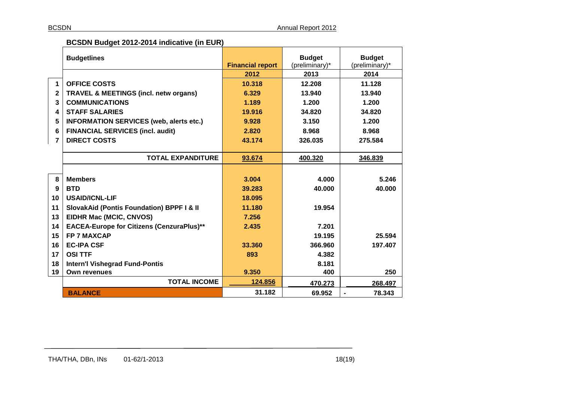### **BCSDN Budget 2012-2014 indicative (in EUR)**

|              | <b>Budgetlines</b>                                   | <b>Financial report</b> | <b>Budget</b><br>(preliminary)* | <b>Budget</b><br>(preliminary)* |
|--------------|------------------------------------------------------|-------------------------|---------------------------------|---------------------------------|
|              |                                                      | 2012                    | 2013                            | 2014                            |
| 1            | <b>OFFICE COSTS</b>                                  | 10.318                  | 12.208                          | 11.128                          |
| $\mathbf{2}$ | <b>TRAVEL &amp; MEETINGS (incl. netw organs)</b>     | 6.329                   | 13.940                          | 13.940                          |
| 3            | <b>COMMUNICATIONS</b>                                | 1.189                   | 1.200                           | 1.200                           |
| 4            | <b>STAFF SALARIES</b>                                | 19.916                  | 34.820                          | 34.820                          |
| 5            | <b>INFORMATION SERVICES (web, alerts etc.)</b>       | 9.928                   | 3.150                           | 1.200                           |
| 6            | <b>FINANCIAL SERVICES (incl. audit)</b>              | 2.820                   | 8.968                           | 8.968                           |
| 7            | <b>DIRECT COSTS</b>                                  | 43.174                  | 326.035                         | 275.584                         |
|              |                                                      |                         |                                 |                                 |
|              | <b>TOTAL EXPANDITURE</b>                             | 93.674                  | 400.320                         | 346.839                         |
|              |                                                      |                         |                                 |                                 |
| 8            | <b>Members</b>                                       | 3.004                   | 4.000                           | 5.246                           |
| 9            | <b>BTD</b>                                           | 39.283                  | 40.000                          | 40.000                          |
| 10           | <b>USAID/ICNL-LIF</b>                                | 18.095                  |                                 |                                 |
| 11           | <b>SlovakAid (Pontis Foundation) BPPF I &amp; II</b> | 11.180                  | 19.954                          |                                 |
| 13           | EIDHR Mac (MCIC, CNVOS)                              | 7.256                   |                                 |                                 |
| 14           | <b>EACEA-Europe for Citizens (CenzuraPlus)**</b>     | 2.435                   | 7.201                           |                                 |
| 15           | <b>FP 7 MAXCAP</b>                                   |                         | 19.195                          | 25.594                          |
| 16           | <b>EC-IPA CSF</b>                                    | 33.360                  | 366.960                         | 197.407                         |
| 17           | <b>OSI TTF</b>                                       | 893                     | 4.382                           |                                 |
| 18           | <b>Intern'l Vishegrad Fund-Pontis</b>                |                         | 8.181                           |                                 |
| 19           | <b>Own revenues</b>                                  | 9.350                   | 400                             | 250                             |
|              | <b>TOTAL INCOME</b>                                  | 124.856                 | 470.273                         | 268.497                         |
|              | <b>BALANCE</b>                                       | 31.182                  | 69.952                          | 78.343                          |